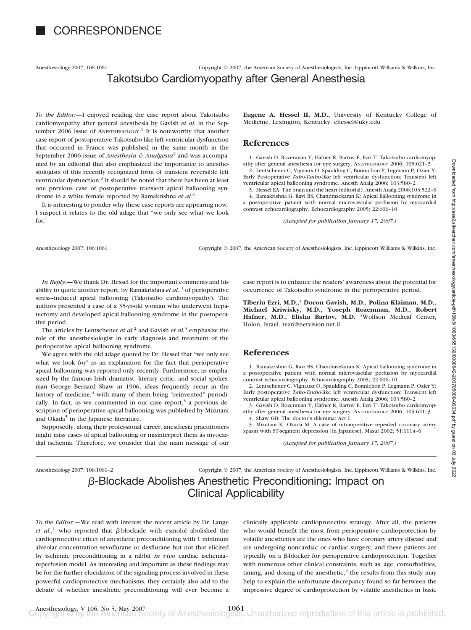Anesthesiology 2007; 106:1061 Copyright © 2007, the American Society of Anesthesiologists, Inc. Lippincott Williams & Wilkins, Inc.

# Takotsubo Cardiomyopathy after General Anesthesia

*To the Editor:—*I enjoyed reading the case report about Takotsubo cardiomyopathy after general anesthesia by Gavish *et al.* in the September 2006 issue of ANESTHESIOLOGY.<sup>1</sup> It is noteworthy that another case report of postoperative Takotsubo-like left ventricular dysfunction that occurred in France was published in the same month in the September 2006 issue of *Anesthesia & Analgesia*<sup>2</sup> and was accompanied by an editorial that also emphasized the importance to anesthesiologists of this recently recognized form of transient reversible left ventricular dysfunction.<sup>3</sup> It should be noted that there has been at least one previous case of postoperative transient apical ballooning syndrome in a white female reported by Ramakrishna *et al.*<sup>4</sup>

It is interesting to ponder why these case reports are appearing now. I suspect it relates to the old adage that "we only see what we look for."

**Eugene A. Hessel II, M.D.,** University of Kentucky College of Medicine, Lexington, Kentucky. ehessel@uky.edu

### **References**

1. Gavish D, Rozenman Y, Hafner R, Bartov E, Ezri T: Takotsubo cardiomyopathy after general anesthesia for eye surgery. ANESTHESIOLOGY 2006; 105:621–3 2. Lentschener C, Vignaux O, Spaulding C, Bonnichon P, Legmann P, Ozier Y: Early Postoperative *Tako-Tsubo*-like left ventricular dysfunction: Transient left ventricular apical ballooning syndrome. Anesth Analg 2006; 103:580–2

3. Hessel EA: The brain and the heart (editorial). Anesth Analg 2006;103:522–6 4. Ramakrishna G, Ravi BS, Chandrasekaran K: Apical Ballooning syndrome in a postoperative patient with normal microvascular perfusion by myocardial contrast echocardiography. Echocardiography 2005; 22:606–10

*(Accepted for publication January 17, 2007.)*

Anesthesiology 2007; 106:1061 Copyright © 2007, the American Society of Anesthesiologists, Inc. Lippincott Williams & Wilkins, Inc.

*In Reply:—*We thank Dr. Hessel for the important comments and his ability to quote another report, by Ramakrishna *et al.*, <sup>1</sup> of perioperative stress–induced apical ballooning (Takotsubo cardiomyopathy). The authors presented a case of a 35-yr-old woman who underwent hepatectomy and developed apical ballooning syndrome in the postoperative period.

The articles by Lentschener *et al.*<sup>2</sup> and Gavish *et al.*<sup>3</sup> emphasize the role of the anesthesiologist in early diagnosis and treatment of the perioperative apical ballooning syndrome.

We agree with the old adage quoted by Dr. Hessel that "we only see what we look for" as an explanation for the fact that perioperative apical ballooning was reported only recently. Furthermore, as emphasized by the famous Irish dramatist, literary critic, and social spokesman George Bernard Shaw in 1906, ideas frequently recur in the history of medicine, $4$  with many of them being "reinvented" periodically. In fact, as we commented in our case report, $3$  a previous description of perioperative apical ballooning was published by Mizutani and Okada<sup>5</sup> in the Japanese literature.

Supposedly, along their professional career, anesthesia practitioners might miss cases of apical ballooning or misinterpret them as myocardial ischemia. Therefore, we consider that the main message of our

case report is to enhance the readers' awareness about the potential for occurrence of Takotsubo syndrome in the perioperative period.

**Tiberiu Ezri, M.D.,\* Doron Gavish, M.D., Polina Klaiman, M.D., Michael Kriwisky, M.D., Yoseph Rozenman, M.D., Robert Hafner, M.D., Elisha Bartov, M.D.** \*Wolfson Medical Center, Holon, Israel. tezri@netvision.net.il

#### **References**

1. Ramakrishna G, Ravi BS, Chandrasekaran K: Apical ballooning syndrome in a postoperative patient with normal microvascular perfusion by myocardial contrast echocardiography. Echocardiography 2005; 22:606–10

2. Lentschener C, Vignauxt O, Spaulding C, Bonnichon P, Legmann P, Ozier Y: Early postoperative *Tako-Tsubo*-like left ventricular dysfunction: Transient left ventricular apical ballooning syndrome. Anesth Analg 2006; 103:580–2

3. Gavish D, Rozenman Y, Hafner R, Bartov E, Ezri T: Takotsubo cardiomyopathy after general anesthesia for eye surgery. ANESTHESIOLOGY 2006; 105:621–3 4. Shaw GB: The doctor's dilemma: Act I.

5. Mizutani K, Okada M: A case of intraoperative repeated coronary artery spasm with ST-segment depression [in Japanese]. Masui 2002; 51:1114–6

*(Accepted for publication January 17, 2007.)*

Anesthesiology 2007; 106:1061–2 Copyright © 2007, the American Society of Anesthesiologists, Inc. Lippincott Williams & Wilkins, Inc. -Blockade Abolishes Anesthetic Preconditioning: Impact on Clinical Applicability

*To the Editor:—*We read with interest the recent article by Dr. Lange *et al.*,<sup>1</sup> who reported that  $\beta$ -blockade with esmolol abolished the cardioprotective effect of anesthetic preconditioning with 1 minimum alveolar concentration sevoflurane or desflurane but not that elicited by ischemic preconditioning in a rabbit *in vivo* cardiac ischemia– reperfusion model. As interesting and important as these findings may be for the further elucidation of the signaling process involved in these powerful cardioprotective mechanisms, they certainly also add to the debate of whether anesthetic preconditioning will ever become a clinically applicable cardioprotective strategy. After all, the patients who would benefit the most from perioperative cardioprotection by volatile anesthetics are the ones who have coronary artery disease and are undergoing noncardiac or cardiac surgery, and these patients are typically on a  $\beta$ -blocker for perioperative cardioprotection. Together with numerous other clinical constraints, such as, age, comorbidities, timing, and dosing of the anesthetic, $2$  the results from this study may help to explain the unfortunate discrepancy found so far between the impressive degree of cardioprotection by volatile anesthetics in basic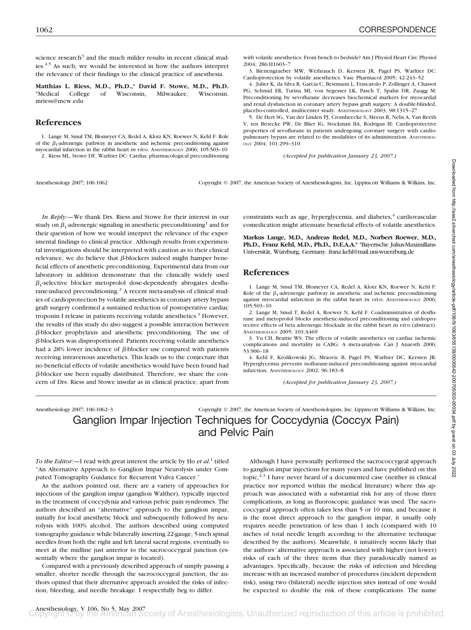science research<sup>3</sup> and the much milder results in recent clinical studies.<sup>4,5</sup> As such, we would be interested in how the authors interpret the relevance of their findings to the clinical practice of anesthesia.

**Matthias L. Riess, M.D., Ph.D.,\* David F. Stowe, M.D., Ph.D.** \*Medical College of Wisconsin, Milwaukee, Wisconsin. mriess@mcw.edu

### **References**

1. Lange M, Smul TM, Blomeyer CA, Redel A, Klotz KN, Roewer N, Kehl F: Role of the  $\beta_1$ -adrenergic pathway in anesthetic and ischemic preconditioning against myocardial infarction in the rabbit heart *in vivo*. ANESTHESIOLOGY 2006; 105:503–10 2. Riess ML, Stowe DF, Warltier DC: Cardiac pharmacological preconditioning

Anesthesiology 2007; 106:1062 Copyright © 2007, the American Society of Anesthesiologists, Inc. Lippincott Williams & Wilkins, Inc.

*In Reply:—*We thank Drs. Riess and Stowe for their interest in our study on  $\beta_1$ -adrenergic signaling in anesthetic preconditioning<sup>1</sup> and for their question of how we would interpret the relevance of the experimental findings to clinical practice. Although results from experimental investigations should be interpreted with caution as to their clinical relevance, we do believe that  $\beta$ -blockers indeed might hamper beneficial effects of anesthetic preconditioning. Experimental data from our laboratory in addition demonstrate that the clinically widely used  $\beta_1$ -selective blocker metoprolol dose-dependently abrogates desflurane-induced preconditioning.<sup>2</sup> A recent meta-analysis of clinical studies of cardioprotection by volatile anesthetics in coronary artery bypass graft surgery confirmed a sustained reduction of postoperative cardiac troponin I release in patients receiving volatile anesthetics.<sup>3</sup> However, the results of this study do also suggest a possible interaction between  $\beta$ -blocker prophylaxis and anesthetic preconditioning. The use of -blockers was disproportioned: Patients receiving volatile anesthetics had a 28% lower incidence of  $\beta$ -blocker use compared with patients receiving intravenous anesthetics. This leads us to the conjecture that no beneficial effects of volatile anesthetics would have been found had  $\beta$ -blocker use been equally distributed. Therefore, we share the concern of Drs. Riess and Stowe insofar as in clinical practice, apart from

constraints such as age, hyperglycemia, and diabetes,<sup>4</sup> cardiovascular comedication might attenuate beneficial effects of volatile anesthetics.

**Markus Lange, M.D., Andreas Redel, M.D., Norbert Roewer, M.D., Ph.D., Franz Kehl, M.D., Ph.D., D.E.A.A.\*** \*Bayerische Julius-Maximillans-Universität, Würzburg, Germany. franz.kehl@mail.uni-wuerzburg.de

#### **References**

1. Lange M, Smul TM, Blomeyer CA, Redel A, Klotz KN, Roewer N, Kehl F: Role of the  $\beta_1$ -adrenergic pathway in anesthetic and ischemic preconditioning against myocardial infarction in the rabbit heart *in vivo*. ANESTHESIOLOGY 2006; 105:503–10

2. Lange M, Smul T, Redel A, Roewer N, Kehl F: Coadministration of desflurane and metoprolol blocks anesthetic-induced preconditioning and cardioprotective effects of beta adrenergic blockade in the rabbit heart *in vivo* (abstract). ANESTHESIOLOGY 2005; 103:A469

3. Yu CH, Beattie WS: The effects of volatile anesthetics on cardiac ischemic complications and mortality in CABG: A meta-analysis. Can J Anaesth 2006; 53:906–18

4. Kehl F, Krolikowski JG, Mraovic B, Pagel PS, Warltier DC, Kersten JR: Hyperglycemia prevents isoflurane-induced preconditioning against myocardial infarction. ANESTHESIOLOGY 2002; 96:183–8

*(Accepted for publication January 23, 2007.)*

Anesthesiology 2007; 106:1062–3 Copyright © 2007, the American Society of Anesthesiologists, Inc. Lippincott Williams & Wilkins, Inc.

Ganglion Impar Injection Techniques for Coccydynia (Coccyx Pain) and Pelvic Pain

*To the Editor:—*I read with great interest the article by Ho *et al.*<sup>1</sup> titled "An Alternative Approach to Ganglion Impar Neurolysis under Computed Tomography Guidance for Recurrent Vulva Cancer."

As the authors pointed out, there are a variety of approaches for injections of the ganglion impar (ganglion Walther), typically injected in the treatment of coccydynia and various pelvic pain syndromes. The authors described an "alternative" approach to the ganglion impar, initially for local anesthetic block and subsequently followed by neurolysis with 100% alcohol. The authors described using computed tomography guidance while bilaterally inserting 22-gauge, 5-inch spinal needles from both the right and left lateral sacral regions, eventually to meet at the midline just anterior to the sacrococcygeal junction (essentially where the ganglion impar is located).

Compared with a previously described approach of simply passing a smaller, shorter needle through the sacrococcygeal junction, the authors opined that their alternative approach avoided the risks of infection, bleeding, and needle breakage. I respectfully beg to differ.

Although I have personally performed the sacrococcygeal approach to ganglion impar injections for many years and have published on this topic,<sup>2,3</sup> I have never heard of a documented case (neither in clinical practice nor reported within the medical literature) where this approach was associated with a substantial risk for any of those three complications, as long as fluoroscopic guidance was used. The sacrococcygeal approach often takes less than 5 or 10 min, and because it is the most direct approach to the ganglion impar, it usually only requires needle penetration of less than 1 inch (compared with 10 inches of total needle length according to the alternative technique described by the authors). Meanwhile, it intuitively seems likely that the authors' alternative approach is associated with higher (not lower) risks of each of the three items that they paradoxically named as advantages. Specifically, because the risks of infection and bleeding increase with an increased number of procedures (incident dependent risk), using two (bilateral) needle injection sites instead of one would be expected to double the risk of these complications. The name

with volatile anesthetics: From bench to bedside? Am J Physiol Heart Circ Physiol 2004; 286:H1603–7

3. Bienengraeber MW, Weihrauch D, Kersten JR, Pagel PS, Warltier DC: Cardioprotection by volatile anesthetics. Vasc Pharmacol 2005; 42:243–52

4. Julier K, da Silva R, Garcia C, Bestmann L, Frascarolo P, Zollinger A, Chassot PG, Schmid ER, Turina MI, von Segesser LK, Pasch T, Spahn DR, Zaugg M: Preconditioning by sevoflurane decreases biochemical markers for myocardial and renal dysfunction in coronary artery bypass graft surgery: A double-blinded, placebo-controlled, multicenter study. ANESTHESIOLOGY 2003; 98:1315–27

5. De Hert SG, Van der Linden PJ, Cromheecke S, Meeus R, Nelis A, Van Reeth V, ten Broecke PW, De Blier IG, Stockman BA, Rodrigus IE: Cardioprotective properties of sevoflurane in patients undergoing coronary surgery with cardiopulmonary bypass are related to the modalities of its administration. ANESTHESIOL-OGY 2004; 101:299–310

*(Accepted for publication January 23, 2007.)*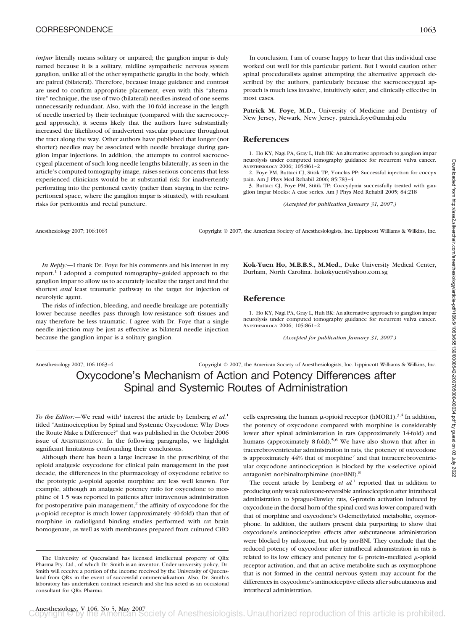*impar* literally means solitary or unpaired; the ganglion impar is duly named because it is a solitary, midline sympathetic nervous system ganglion, unlike all of the other sympathetic ganglia in the body, which are paired (bilateral). Therefore, because image guidance and contrast are used to confirm appropriate placement, even with this "alternative" technique, the use of two (bilateral) needles instead of one seems unnecessarily redundant. Also, with the 10-fold increase in the length of needle inserted by their technique (compared with the sacrococcygeal approach), it seems likely that the authors have substantially increased the likelihood of inadvertent vascular puncture throughout the tract along the way. Other authors have published that longer (not shorter) needles may be associated with needle breakage during ganglion impar injections. In addition, the attempts to control sacrococcygeal placement of such long needle lengths bilaterally, as seen in the article's computed tomography image, raises serious concerns that less experienced clinicians would be at substantial risk for inadvertently perforating into the peritoneal cavity (rather than staying in the retroperitoneal space, where the ganglion impar is situated), with resultant risks for peritonitis and rectal puncture.

In conclusion, I am of course happy to hear that this individual case worked out well for this particular patient. But I would caution other spinal proceduralists against attempting the alternative approach described by the authors, particularly because the sacrococcygeal approach is much less invasive, intuitively safer, and clinically effective in most cases.

Patrick M. Foye, M.D., University of Medicine and Dentistry of New Jersey, Newark, New Jersey. patrick.foye@umdnj.edu

### **References**

1. Ho KY, Nagi PA, Gray L, Huh BK: An alternative approach to ganglion impar neurolysis under computed tomography guidance for recurrent vulva cancer. ANESTHESIOLOGY 2006; 105:861–2

2. Foye PM, Buttaci CJ, Stitik TP, Yonclas PP: Successful injection for coccyx pain. Am J Phys Med Rehabil 2006; 85:783–4

3. Buttaci CJ, Foye PM, Stitik TP: Coccydynia successfully treated with ganglion impar blocks: A case series. Am J Phys Med Rehabil 2005; 84:218

*(Accepted for publication January 31, 2007.)*

Anesthesiology 2007; 106:1063 Copyright © 2007, the American Society of Anesthesiologists, Inc. Lippincott Williams & Wilkins, Inc.

*In Reply:*—I thank Dr. Foye for his comments and his interest in my report.1 I adopted a computed tomography–guided approach to the ganglion impar to allow us to accurately localize the target and find the shortest *and* least traumatic pathway to the target for injection of neurolytic agent.

The risks of infection, bleeding, and needle breakage are potentially lower because needles pass through low-resistance soft tissues and may therefore be less traumatic. I agree with Dr. Foye that a single needle injection may be just as effective as bilateral needle injection because the ganglion impar is a solitary ganglion.

**Kok-Yuen Ho, M.B.B.S., M.Med.,** Duke University Medical Center, Durham, North Carolina. hokokyuen@yahoo.com.sg

#### **Reference**

1. Ho KY, Nagi PA, Gray L, Huh BK: An alternative approach to ganglion impar neurolysis under computed tomography guidance for recurrent vulva cancer. ANESTHESIOLOGY 2006; 105:861–2

*(Accepted for publication January 31, 2007.)*

Anesthesiology 2007; 106:1063–4 Copyright © 2007, the American Society of Anesthesiologists, Inc. Lippincott Williams & Wilkins, Inc. Oxycodone's Mechanism of Action and Potency Differences after Spinal and Systemic Routes of Administration

*To the Editor:*—We read with<sup>1</sup> interest the article by Lemberg *et al.*<sup>1</sup> titled "Antinociception by Spinal and Systemic Oxycodone: Why Does the Route Make a Difference?" that was published in the October 2006 issue of ANESTHESIOLOGY. In the following paragraphs, we highlight significant limitations confounding their conclusions.

Although there has been a large increase in the prescribing of the opioid analgesic oxycodone for clinical pain management in the past decade, the differences in the pharmacology of oxycodone relative to the prototypic  $\mu$ -opioid agonist morphine are less well known. For example, although an analgesic potency ratio for oxycodone to morphine of 1.5 was reported in patients after intravenous administration for postoperative pain management, $<sup>2</sup>$  the affinity of oxycodone for the</sup> --opioid receptor is much lower (approximately 40-fold) than that of morphine in radioligand binding studies performed with rat brain homogenate, as well as with membranes prepared from cultured CHO

cells expressing the human  $\mu$ -opioid receptor (hMOR1).<sup>3,4</sup> In addition, the potency of oxycodone compared with morphine is considerably lower after spinal administration in rats (approximately 14-fold) and humans (approximately 8-fold).<sup>5,6</sup> We have also shown that after intracerebroventricular administration in rats, the potency of oxycodone is approximately  $44%$  that of morphine<sup>7</sup> and that intracerebroventricular oxycodone antinociception is blocked by the  $\kappa$ -selective opioid antagonist nor-binaltorphimine (nor-BNI).8

The recent article by Lemberg  $et \ al<sup>1</sup>$  reported that in addition to producing only weak naloxone-reversible antinociception after intrathecal administration to Sprague-Dawley rats, G-protein activation induced by oxycodone in the dorsal horn of the spinal cord was lower compared with that of morphine and oxycodone's O-demethylated metabolite, oxymorphone. In addition, the authors present data purporting to show that oxycodone's antinociceptive effects after subcutaneous administration were blocked by naloxone, but not by nor-BNI. They conclude that the reduced potency of oxycodone after intrathecal administration in rats is related to its low efficacy and potency for G protein-mediated  $\mu$ -opioid receptor activation, and that an active metabolite such as oxymorphone that is not formed in the central nervous system may account for the differences in oxycodone's antinociceptive effects after subcutaneous and intrathecal administration.

The University of Queensland has licensed intellectual property of QRx Pharma Pty. Ltd., of which Dr. Smith is an inventor. Under university policy, Dr. Smith will receive a portion of the income received by the University of Queensland from QRx in the event of successful commercialization. Also, Dr. Smith's laboratory has undertaken contract research and she has acted as an occasional consultant for QRx Pharma.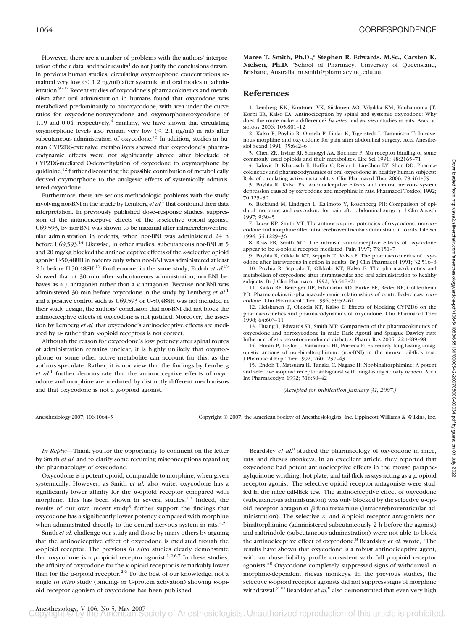1064 CORRESPONDENCE

However, there are a number of problems with the authors' interpretation of their data, and their results $1$  do not justify the conclusions drawn. In previous human studies, circulating oxymorphone concentrations remained very low  $(< 1.2$  ng/ml) after systemic and oral modes of administration.<sup>9-12</sup> Recent studies of oxycodone's pharmacokinetics and metabolism after oral administration in humans found that oxycodone was metabolized predominantly to noroxycodone, with area under the curve ratios for oxycodone:noroxycodone and oxymorphone:oxycodone of 1.19 and 0.04, respectively. $4$  Similarly, we have shown that circulating oxymorphone levels also remain very low  $\ll$  2.1 ng/ml) in rats after subcutaneous administration of oxycodone.<sup>13</sup> In addition, studies in human CYP2D6-extensive metabolizers showed that oxycodone's pharmacodynamic effects were not significantly altered after blockade of CYP2D6-mediated O-demethylation of oxycodone to oxymorphone by quidinine, $^{12}$  further discounting the possible contribution of metabolically derived oxymorphone to the analgesic effects of systemically administered oxycodone.

Furthermore, there are serious methodologic problems with the study involving nor-BNI in the article by Lemberg *et al.*<sup>1</sup> that confound their data interpretation. In previously published dose–response studies, suppression of the antinociceptive effects of the  $\kappa$ -selective opioid agonist, U69,593, by nor-BNI was shown to be maximal after intracerebroventricular administration in rodents, when nor-BNI was administered 24 h before U69,593.14 Likewise, in other studies, subcutaneous nor-BNI at 5 and 20 mg/kg blocked the antinociceptive effects of the  $\kappa$ -selective opioid agonist U-50,488H in rodents only when nor-BNI was administered at least 2 h before U-50,488H.15 Furthermore, in the same study, Endoh *et al.*<sup>15</sup> showed that at 30 min after subcutaneous administration, nor-BNI behaves as a  $\mu$ -antagonist rather than a  $\kappa$ -antagonist. Because nor-BNI was administered 30 min before oxycodone in the study by Lemberg *et al.*<sup>1</sup> and a positive control such as U69,593 or U-50,488H was not included in their study design, the authors' conclusion that nor-BNI did not block the antinociceptive effects of oxycodone is not justified. Moreover, the assertion by Lemberg *et al.* that oxycodone's antinociceptive effects are mediated by  $\mu$ - rather than  $\kappa$ -opioid receptors is not correct.

Although the reason for oxycodone's low potency after spinal routes of administration remains unclear, it is highly unlikely that oxymorphone or some other active metabolite can account for this, as the authors speculate. Rather, it is our view that the findings by Lemberg *et al.*<sup>1</sup> further demonstrate that the antinociceptive effects of oxycodone and morphine are mediated by distinctly different mechanisms and that oxycodone is not a  $\mu$ -opioid agonist.

**Maree T. Smith, Ph.D.,\* Stephen R. Edwards, M.Sc., Carsten K. Nielsen, Ph.D.** \*School of Pharmacy, University of Queensland, Brisbane, Australia. m.smith@pharmacy.uq.edu.au

### **References**

1. Lemberg KK, Kontinen VK, Siislonen AO, Viljakka KM, Kauhaluoma JT, Korpi ER, Kalso EA: Antinociception by spinal and systemic oxycodone: Why does the route make a difference? *In vitro* and *in vivo* studies in rats. ANESTHE-SIOLOGY 2006; 105:801–12

2. Kalso E, Poyhia R, Onnela P, Linko K, Tigerstedt I, Tammistro T: Intravenous morphine and oxycodone for pain after abdominal surgery. Acta Anesthesiol Scand 1991; 35:642–6

3. Chen ZR, Irvine RJ, Somogyi AA, Bochner F: Mu receptor binding of some commonly used opioids and their metabolites. Life Sci 1991; 48:2165-

4. Lalovic B, Kharasch E, Hoffer C, Risler L, Liu-Chen LY, Shen DD: Pharmacokinetics and pharmacodynamics of oral oxycodone in healthy human subjects: Role of circulating active metabolites. Clin Pharmacol Ther 2006; 79:461–79

5. Poyhia R, Kalso EA: Antinociceptive effects and central nervous system depression caused by oxycodone and morphine in rats. Pharmacol Toxicol 1992; 70:125–30

6. Backlund M, Lindrgen L, Kajimoto Y, Rosenberg PH: Comparison of epidural morphine and oxycodone for pain after abdominal surgery. J Clin Anesth 1997; 9:30–5

7. Leow KP, Smith MT: The antinociceptive potencies of oxycodone, noroxycodone and morphine after intracerebroventricular administration to rats. Life Sci 1994; 54:1229–36

8. Ross FB, Smith MT: The intrinsic antinociceptive effects of oxycodone appear to be *k*-opioid receptor mediated. Pain 1997; 73:151-7

9. Poyhia R, Olkkola KT, Seppala T, Kalso E: The pharmacokinetics of oxycodone after intravenous injection in adults. Br J Clin Pharmacol 1991; 32:516–8

10. Poyhia R, Seppala T, Olkkola KT, Kalso E: The pharmacokinetics and metabolism of oxycodone after intramuscular and oral administration to healthy subjects. Br J Clin Pharmacol 1992; 33:617–21

11. Kaiko RF, Benziger DP, Fitzmartin RD, Burke BE, Reder RF, Goldenheim PD: Pharmacokinetic-pharmacodynamic relationships of controlled-release oxycodone. Clin Pharmacol Ther 1996; 59:52–61

12. Heiskanen T, Olkkola KT, Kalso E: Effects of blocking CYP2D6 on the pharmacokinetics and pharmacodynamics of oxycodone. Clin Pharmacol Ther 1998; 64:603–11

13. Huang L, Edwards SR, Smith MT: Comparison of the pharmacokinetics of oxycodone and noroxycodone in male Dark Agouti and Sprague Dawley rats: Influence of streptozotocin-induced diabetes. Pharm Res 2005; 22:1489–98

14. Horan P, Taylor J, Yamamura HI, Porreca F: Extremely long-lasting antagonistic actions of nor-binaltorphimine (nor-BNI) in the mouse tail-flick test. J Pharmacol Exp Ther 1992; 260:1237–43

15. Endoh T, Matsuura H, Tanaka C, Nagase H: Nor-binaltorphimine: A potent and selective  $\kappa$ -opioid receptor antagonist with long-lasting activity *in vivo*. Arch Int Pharmacodyn 1992; 316:30–42

*(Accepted for publication January 31, 2007.)*

Downloaded from http://asa2.silverchair.com/anesthesiology/article-pdf/106/5/1063/655139/0000542-200705000-00034.pdf by guest on 03 July 2022 Downloaded from http://asa2.silverchair.com/anesthesiology/article-pdf/106/5/1063/655139/0000542-200705000-00034.pdf by guest on 03 July 2022

Anesthesiology 2007; 106:1064-5 Copyright © 2007, the American Society of Anesthesiologists, Inc. Lippincott Williams & Wilkins, Inc.

*In Reply:—*Thank you for the opportunity to comment on the letter by Smith *et al.* and to clarify some recurring misconceptions regarding the pharmacology of oxycodone.

Oxycodone is a potent opioid, comparable to morphine, when given systemically. However, as Smith *et al.* also write, oxycodone has a significantly lower affinity for the  $\mu$ -opioid receptor compared with morphine. This has been shown in several studies.<sup>1,2</sup> Indeed, the results of our own recent study<sup>3</sup> further support the findings that oxycodone has a significantly lower potency compared with morphine when administrated directly to the central nervous system in rats.<sup>4,5</sup>

Smith *et al.* challenge our study and those by many others by arguing that the antinociceptive effect of oxycodone is mediated trough the -opioid receptor. The previous *in vivo* studies clearly demonstrate that oxycodone is a  $\mu$ -opioid receptor agonist.<sup>1,2,6,7</sup> In these studies, the affinity of oxycodone for the  $\kappa$ -opioid receptor is remarkably lower than for the  $\mu$ -opioid receptor.<sup>2,6</sup> To the best of our knowledge, not a single *in vitro* study (binding- or G-protein activation) showing  $\kappa$ -opioid receptor agonism of oxycodone has been published.

Beardsley *et al.*<sup>8</sup> studied the pharmacology of oxycodone in mice, rats, and rhesus monkeys. In an excellent article, they reported that oxycodone had potent antinociceptive effects in the mouse paraphenylquinone writhing, hot-plate, and tail-flick assays acting as a  $\mu$ -opioid receptor agonist. The selective opioid receptor antagonists were studied in the mice tail-flick test. The antinociceptive effect of oxycodone (subcutaneous administration) was only blocked by the selective  $\mu$ -opioid receptor antagonist  $\beta$ -funaltrexamine (intracerebroventricular administration). The selective  $\kappa$ - and  $\delta$ -opioid receptor antagonists norbinaltorphimine (administered subcutaneously 2 h before the agonist) and naltrindole (subcutaneous administration) were not able to block the antinociceptive effect of oxycodone.8 Beardsley *et al.* wrote, "The results have shown that oxycodone is a robust antinociceptive agent, with an abuse liability profile consistent with full  $\mu$ -opioid receptor agonists."8 Oxycodone completely suppressed signs of withdrawal in morphine-dependent rhesus monkeys. In the previous studies, the selective  $\kappa$ -opioid receptor agonists did not suppress signs of morphine withdrawal.<sup>9,10</sup> Beardsley *et al.*<sup>8</sup> also demonstrated that even very high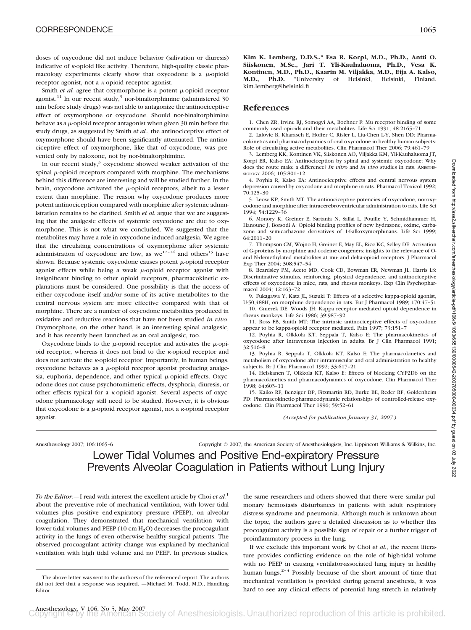doses of oxycodone did not induce behavior (salivation or diuresis) indicative of  $\kappa$ -opioid like activity. Therefore, high-quality classic pharmacology experiments clearly show that oxycodone is a  $\mu$ -opioid receptor agonist, not a  $\kappa$ -opioid receptor agonist.

Smith  $et$   $al$ . agree that oxymorphone is a potent  $\mu$ -opioid receptor agonist.<sup>11</sup> In our recent study,<sup>3</sup> nor-binaltorphimine (administered 30) min before study drugs) was not able to antagonize the antinociceptive effect of oxymorphone or oxycodone. Should nor-binaltorphimine behave as a  $\mu$ -opioid receptor antagonist when given 30 min before the study drugs, as suggested by Smith *et al.*, the antinociceptive effect of oxymorphone should have been significantly attenuated. The antinociceptive effect of oxymorphone, like that of oxycodone, was prevented only by naloxone, not by nor-binaltorphimine.

In our recent study, $3$  oxycodone showed weaker activation of the spinal  $\mu$ -opioid receptors compared with morphine. The mechanisms behind this difference are interesting and will be studied further. In the brain, oxycodone activated the  $\mu$ -opioid receptors, albeit to a lesser extent than morphine. The reason why oxycodone produces more potent antinociception compared with morphine after systemic administration remains to be clarified. Smith *et al.* argue that we are suggesting that the analgesic effects of systemic oxycodone are due to oxymorphone. This is not what we concluded. We suggested that the metabolites may have a role in oxycodone-induced analgesia. We agree that the circulating concentrations of oxymorphone after systemic administration of oxycodone are low, as  $we^{12-14}$  and others<sup>15</sup> have shown. Because systemic oxycodone causes potent  $\mu$ -opioid receptor agonist effects while being a weak  $\mu$ -opioid receptor agonist with insignificant binding to other opioid receptors, pharmacokinetic explanations must be considered. One possibility is that the access of either oxycodone itself and/or some of its active metabolites to the central nervous system are more effective compared with that of morphine. There are a number of oxycodone metabolites produced in oxidative and reductive reactions that have not been studied *in vivo*. Oxymorphone, on the other hand, is an interesting spinal analgesic, and it has recently been launched as an oral analgesic, too.

Oxycodone binds to the  $\mu$ -opioid receptor and activates the  $\mu$ -opioid receptor, whereas it does not bind to the  $\kappa$ -opioid receptor and does not activate the  $\kappa$ -opioid receptor. Importantly, in human beings,  $oxycodone$  behaves as a  $\mu$ -opioid receptor agonist producing analgesia, euphoria, dependence, and other typical  $\mu$ -opioid effects. Oxycodone does not cause psychotomimetic effects, dysphoria, diuresis, or other effects typical for a  $\kappa$ -opioid agonist. Several aspects of oxycodone pharmacology still need to be studied. However, it is obvious that oxycodone is a  $\mu$ -opioid receptor agonist, not a  $\kappa$ -opioid receptor agonist.

**Kim K. Lemberg, D.D.S.,\* Esa R. Korpi, M.D., Ph.D., Antti O. Siiskonen, M.Sc., Jari T. Yli-Kauhaluoma, Ph.D., Vesa K. Kontinen, M.D., Ph.D., Kaarin M. Viljakka, M.D., Eija A. Kalso, M.D., Ph.D.** \*University of Helsinki, Helsinki, Finland. kim.lemberg@helsinki.fi

#### **References**

1. Chen ZR, Irvine RJ, Somogyi AA, Bochner F: Mu receptor binding of some commonly used opioids and their metabolites. Life Sci 1991; 48:2165–71

2. Lalovic B, Kharasch E, Hoffer C, Risler L, Liu-Chen L-Y, Shen DD: Pharmacokinetics and pharmacodynamics of oral oxycodone in healthy human subjects: Role of circulating active metabolites. Clin Pharmacol Ther 2006; 79:461–79

3. Lemberg KK, Kontinen VK, Siiskonen AO, Viljakka KM, Yli-Kauhaluoma JT, Korpi ER, Kalso EA: Antinociception by spinal and systemic oxycodone: Why does the route make a difference? *In vitro* and *in vivo* studies in rats. ANESTHE-SIOLOGY 2006; 105:801–12

4. Poyhia R, Kalso EA: Antinociceptive effects and central nervous system depression caused by oxycodone and morphine in rats. Pharmacol Toxicol 1992; 70:125–30

5. Leow KP, Smith MT: The antinociceptive potencies of oxycodone, noroxycodone and morphine after intracerebroventricular administration to rats. Life Sci 1994; 54:1229–36

6. Monory K, Greiner E, Sartania N, Sallai L, Pouille Y, Schmidhammer H, Hanoune J, Borsodi A: Opioid binding profiles of new hydrazone, oxime, carbazone and semicarbazone derivatives of 14-alkoxymorphinans. Life Sci 1999; 64:2011–20

7. Thompson CM, Wojno H, Greiner E, May EL, Rice KC, Selley DE: Activation of G-proteins by morphine and codeine congeners: insights to the relevance of Oand N-demethylated metabolites at mu- and delta-opioid receptors. J Pharmacol Exp Ther 2004; 308:547–54

8. Beardsley PM, Aceto MD, Cook CD, Bowman ER, Newman JL, Harris LS: Discriminative stimulus, reinforcing, physical dependence, and antinociceptive effects of oxycodone in mice, rats, and rhesus monkeys. Exp Clin Psychopharmacol 2004; 12:163–72

9. Fukagawa Y, Katz JL, Suzuki T: Effects of a selective kappa-opioid agonist, U-50,488H, on morphine dependence in rats. Eur J Pharmacol 1989; 170:47–51

10. Gmerek DE, Woods JH: Kappa receptor mediated opioid dependence in rhesus monkeys. Life Sci 1986; 39:987–92

11. Ross FB, Smith MT: The intrinsic antinociceptive effects of oxycodone appear to be kappa-opioid receptor mediated. Pain 1997; 73:151–7

12. Poyhia R, Olkkola KT, Seppala T, Kalso E: The pharmacokinetics of oxycodone after intravenous injection in adults. Br J Clin Pharmacol 1991; 32:516–8

13. Poyhia R, Seppala T, Olkkola KT, Kalso E: The pharmacokinetics and metabolism of oxycodone after intramuscular and oral administration to healthy subjects. Br J Clin Pharmacol 1992; 33:617–21

14. Heiskanen T, Olkkola KT, Kalso E: Effects of blocking CYP2D6 on the pharmacokinetics and pharmacodynamics of oxycodone. Clin Pharmacol Ther 1998; 64:603–11

15. Kaiko RF, Benziger DP, Fitzmartin RD, Burke BE, Reder RF, Goldenheim PD: Pharmacokinetic-pharmacodynamic relationships of controlled-release oxycodone. Clin Pharmacol Ther 1996; 59:52–61

*(Accepted for publication January 31, 2007.)*

Anesthesiology 2007; 106:1065–6 Copyright © 2007, the American Society of Anesthesiologists, Inc. Lippincott Williams & Wilkins, Inc.

Lower Tidal Volumes and Positive End-expiratory Pressure Prevents Alveolar Coagulation in Patients without Lung Injury

*To the Editor:—*I read with interest the excellent article by Choi *et al.*<sup>1</sup> about the preventive role of mechanical ventilation, with lower tidal volumes plus positive end-expiratory pressure (PEEP), on alveolar coagulation. They demonstrated that mechanical ventilation with lower tidal volumes and PEEP (10 cm  $H_2O$ ) decreases the procoagulant activity in the lungs of even otherwise healthy surgical patients. The observed procoagulant activity change was explained by mechanical ventilation with high tidal volume and no PEEP. In previous studies,

the same researchers and others showed that there were similar pulmonary hemostasis disturbances in patients with adult respiratory distress syndrome and pneumonia. Although much is unknown about the topic, the authors gave a detailed discussion as to whether this procoagulant activity is a possible sign of repair or a further trigger of proinflammatory process in the lung.

If we exclude this important work by Choi *et al.*, the recent literature provides conflicting evidence on the role of high-tidal volume with no PEEP in causing ventilator-associated lung injury in healthy human lungs.<sup>2-4</sup> Possibly because of the short amount of time that mechanical ventilation is provided during general anesthesia, it was hard to see any clinical effects of potential lung stretch in relatively

The above letter was sent to the authors of the referenced report. The authors did not feel that a response was required. —Michael M. Todd, M.D., Handling Editor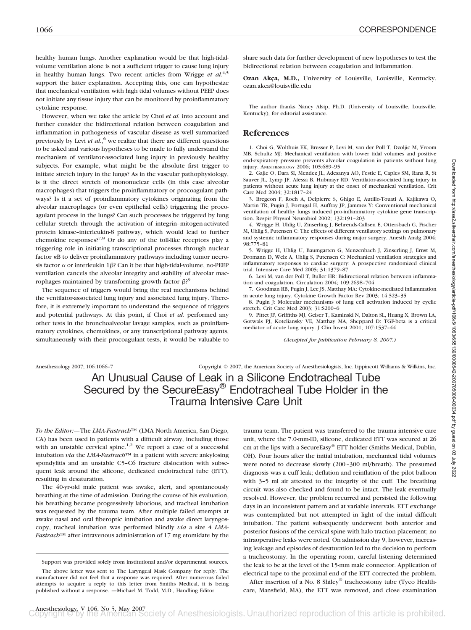healthy human lungs. Another explanation would be that high-tidalvolume ventilation alone is not a sufficient trigger to cause lung injury in healthy human lungs. Two recent articles from Wrigge *et al.*<sup>4,5</sup> support the latter explanation. Accepting this, one can hypothesize that mechanical ventilation with high tidal volumes without PEEP does not initiate any tissue injury that can be monitored by proinflammatory cytokine response.

However, when we take the article by Choi *et al.* into account and further consider the bidirectional relation between coagulation and inflammation in pathogenesis of vascular disease as well summarized previously by Levi *et al.*, <sup>6</sup> we realize that there are different questions to be asked and various hypotheses to be made to fully understand the mechanism of ventilator-associated lung injury in previously healthy subjects. For example, what might be the absolute first trigger to initiate stretch injury in the lungs? As in the vascular pathophysiology, is it the direct stretch of mononuclear cells (in this case alveolar macrophages) that triggers the proinflammatory or procoagulant pathways? Is it a set of proinflammatory cytokines originating from the alveolar macrophages (or even epithelial cells) triggering the procoagulant process in the lungs? Can such processes be triggered by lung cellular stretch through the activation of integrin–mitogen-activated protein kinase–interleukin-8 pathway, which would lead to further chemokine responses?7,8 Or do any of the toll-like receptors play a triggering role in initiating transcriptional processes through nuclear factor  $\kappa B$  to deliver proinflammatory pathways including tumor necrosis factor  $\alpha$  or interleukin 1 $\beta$ ? Can it be that high-tidal-volume, no-PEEP ventilation cancels the alveolar integrity and stability of alveolar macrophages maintained by transforming growth factor  $\beta$ ?<sup>9</sup>

The sequence of triggers would bring the real mechanisms behind the ventilator-associated lung injury and associated lung injury. Therefore, it is extremely important to understand the sequence of triggers and potential pathways. At this point, if Choi *et al.* performed any other tests in the bronchoalveolar lavage samples, such as proinflammatory cytokines, chemokines, or any transcriptional pathway agents, simultaneously with their procoagulant tests, it would be valuable to

share such data for further development of new hypotheses to test the bidirectional relation between coagulation and inflammation.

**Ozan Akca, M.D.,** University of Louisville, Louisville, Kentucky. ozan.akca@louisville.edu

The author thanks Nancy Alsip, Ph.D. (University of Louisville, Louisville, Kentucky), for editorial assistance.

#### **References**

1. Choi G, Wolthuis EK, Bresser P, Levi M, van der Poll T, Dzoljic M, Vroom MB, Schultz MJ: Mechanical ventilation with lower tidal volumes and positive end-expiratory pressure prevents alveolar coagulation in patients without lung injury. ANESTHESIOLOGY 2006; 105:689–95

2. Gajic O, Dara SI, Mendez JL, Adesanya AO, Festic E, Caples SM, Rana R, St Sauver JL, Lymp JF, Afessa B, Hubmayr RD: Ventilator-associated lung injury in patients without acute lung injury at the onset of mechanical ventilation. Crit Care Med 2004; 32:1817–24

3. Bregeon F, Roch A, Delpierre S, Ghigo E, Autillo-Touati A, Kajikawa O, Martin TR, Pugin J, Portugal H, Auffray JP, Jammes Y: Conventional mechanical ventilation of healthy lungs induced pro-inflammatory cytokine gene transcription. Respir Physiol Neurobiol 2002; 132:191–203

4. Wrigge H, Uhlig U, Zinserling J, Behrends-Callsen E, Ottersbach G, Fischer M, Uhlig S, Putensen C: The effects of different ventilatory settings on pulmonary and systemic inflammatory responses during major surgery. Anesth Analg 2004; 98:775–81

5. Wrigge H, Uhlig U, Baumgarten G, Menzenbach J, Zinserling J, Ernst M, Dromann D, Welz A, Uhlig S, Putensen C: Mechanical ventilation strategies and inflammatory responses to cardiac surgery: A prospective randomized clinical trial. Intensive Care Med 2005; 31:1379–87

6. Levi M, van der Poll T, Buller HR: Bidirectional relation between inflammation and coagulation. Circulation 2004; 109:2698–704

7. Goodman RB, Pugin J, Lee JS, Matthay MA: Cytokine-mediated inflammation in acute lung injury. Cytokine Growth Factor Rev 2003; 14:523–35

8. Pugin J: Molecular mechanisms of lung cell activation induced by cyclic stretch. Crit Care Med 2003; 31:S200–6

9. Pittet JF, Griffiths MJ, Geiser T, Kaminski N, Dalton SL, Huang X, Brown LA, Gotwals PJ, Koteliansky VE, Matthay MA, Sheppard D: TGF-beta is a critical mediator of acute lung injury. J Clin Invest 2001; 107:1537–44

*(Accepted for publication February 8, 2007.)*

Anesthesiology 2007; 106:1066–7 Copyright © 2007, the American Society of Anesthesiologists, Inc. Lippincott Williams & Wilkins, Inc.

# An Unusual Cause of Leak in a Silicone Endotracheal Tube Secured by the SecureEasy® Endotracheal Tube Holder in the Trauma Intensive Care Unit

*To the Editor:—*The *LMA-Fastrach*™ (LMA North America, San Diego, CA) has been used in patients with a difficult airway, including those with an unstable cervical spine.<sup>1,2</sup> We report a case of a successful intubation *via* the *LMA-Fastrach*™ in a patient with severe ankylosing spondylitis and an unstable C5–C6 fracture dislocation with subsequent leak around the silicone, dedicated endotracheal tube (ETT), resulting in desaturation.

The 40-yr-old male patient was awake, alert, and spontaneously breathing at the time of admission. During the course of his evaluation, his breathing became progressively laborious, and tracheal intubation was requested by the trauma team. After multiple failed attempts at awake nasal and oral fiberoptic intubation and awake direct laryngoscopy, tracheal intubation was performed blindly *via* a size 4 *LMA-Fastrach*™ after intravenous administration of 17 mg etomidate by the trauma team. The patient was transferred to the trauma intensive care unit, where the 7.0-mm-ID, silicone, dedicated ETT was secured at 26 cm at the lips with a SecureEasy® ETT holder (Smiths Medical, Dublin, OH). Four hours after the initial intubation, mechanical tidal volumes were noted to decrease slowly (200–300 ml/breath). The presumed diagnosis was a cuff leak; deflation and reinflation of the pilot balloon with  $3-5$  ml air attested to the integrity of the cuff. The breathing circuit was also checked and found to be intact. The leak eventually resolved. However, the problem recurred and persisted the following days in an inconsistent pattern and at variable intervals. ETT exchange was contemplated but not attempted in light of the initial difficult intubation. The patient subsequently underwent both anterior and posterior fusions of the cervical spine with halo traction placement; no intraoperative leaks were noted. On admission day 9, however, increasing leakage and episodes of desaturation led to the decision to perform a tracheostomy. In the operating room, careful listening determined the leak to be at the level of the 15-mm male connector. Application of electrical tape to the proximal end of the ETT corrected the problem.

After insertion of a No. 8 Shiley® tracheostomy tube (Tyco Healthcare, Mansfield, MA), the ETT was removed, and close examination

Support was provided solely from institutional and/or departmental sources.

The above letter was sent to The Laryngeal Mask Company for reply. The manufacturer did not feel that a response was required. After numerous failed attempts to acquire a reply to this letter from Smiths Medical, it is being published without a response. —Michael M. Todd, M.D., Handling Editor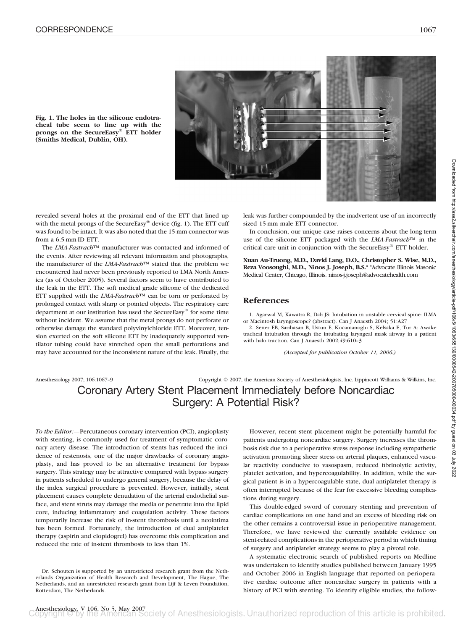

**Fig. 1. The holes in the silicone endotracheal tube seem to line up with the prongs on the SecureEasy® ETT holder (Smiths Medical, Dublin, OH).**

revealed several holes at the proximal end of the ETT that lined up with the metal prongs of the SecureEasy® device (fig. 1). The ETT cuff was found to be intact. It was also noted that the 15-mm connector was from a 6.5-mm-ID ETT.

The *LMA-Fastrach*™ manufacturer was contacted and informed of the events. After reviewing all relevant information and photographs, the manufacturer of the *LMA-Fastrach*™ stated that the problem we encountered had never been previously reported to LMA North America (as of October 2005). Several factors seem to have contributed to the leak in the ETT. The soft medical grade silicone of the dedicated ETT supplied with the *LMA-Fastrach*™ can be torn or perforated by prolonged contact with sharp or pointed objects. The respiratory care department at our institution has used the SecureEasy® for some time without incident. We assume that the metal prongs do not perforate or otherwise damage the standard polyvinylchloride ETT. Moreover, tension exerted on the soft silicone ETT by inadequately supported ventilator tubing could have stretched open the small perforations and may have accounted for the inconsistent nature of the leak. Finally, the

leak was further compounded by the inadvertent use of an incorrectly sized 15-mm male ETT connector.

In conclusion, our unique case raises concerns about the long-term use of the silicone ETT packaged with the *LMA-Fastrach*™ in the critical care unit in conjunction with the SecureEasy® ETT holder.

**Xuan Au-Truong, M.D., David Lang, D.O., Christopher S. Wise, M.D., Reza Voosoughi, M.D., Ninos J. Joseph, B.S.\*** \*Advocate Illinois Masonic Medical Center, Chicago, Illinois. ninos-j.joseph@advocatehealth.com

#### **References**

1. Agarwal M, Kawatra R, Dali JS: Intubation in unstable cervical spine: ILMA or Macintosh laryngoscope? (abstract). Can J Anaesth 2004; 51:A27

2. Sener EB, Sarihasan B, Ustun E, Kocamanoglu S, Kelsaka E, Tur A: Awake tracheal intubation through the intubating laryngeal mask airway in a patient with halo traction. Can J Anaesth 2002;49:610–3

*(Accepted for publication October 11, 2006.)*

# Anesthesiology 2007; 106:1067–9 Copyright © 2007, the American Society of Anesthesiologists, Inc. Lippincott Williams & Wilkins, Inc. Coronary Artery Stent Placement Immediately before Noncardiac Surgery: A Potential Risk?

*To the Editor:—*Percutaneous coronary intervention (PCI), angioplasty with stenting, is commonly used for treatment of symptomatic coronary artery disease. The introduction of stents has reduced the incidence of restenosis, one of the major drawbacks of coronary angioplasty, and has proved to be an alternative treatment for bypass surgery. This strategy may be attractive compared with bypass surgery in patients scheduled to undergo general surgery, because the delay of the index surgical procedure is prevented. However, initially, stent placement causes complete denudation of the arterial endothelial surface, and stent struts may damage the media or penetrate into the lipid core, inducing inflammatory and coagulation activity. These factors temporarily increase the risk of in-stent thrombosis until a neointima has been formed. Fortunately, the introduction of dual antiplatelet therapy (aspirin and clopidogrel) has overcome this complication and reduced the rate of in-stent thrombosis to less than 1%.

However, recent stent placement might be potentially harmful for patients undergoing noncardiac surgery. Surgery increases the thrombosis risk due to a perioperative stress response including sympathetic activation promoting sheer stress on arterial plaques, enhanced vascular reactivity conducive to vasospasm, reduced fibrinolytic activity, platelet activation, and hypercoagulability. In addition, while the surgical patient is in a hypercoagulable state, dual antiplatelet therapy is often interrupted because of the fear for excessive bleeding complications during surgery.

This double-edged sword of coronary stenting and prevention of cardiac complications on one hand and an excess of bleeding risk on the other remains a controversial issue in perioperative management. Therefore, we have reviewed the currently available evidence on stent-related complications in the perioperative period in which timing of surgery and antiplatelet strategy seems to play a pivotal role.

A systematic electronic search of published reports on Medline was undertaken to identify studies published between January 1995 and October 2006 in English language that reported on perioperative cardiac outcome after noncardiac surgery in patients with a history of PCI with stenting. To identify eligible studies, the follow-

Dr. Schouten is supported by an unrestricted research grant from the Netherlands Organization of Health Research and Development, The Hague, The Netherlands, and an unrestricted research grant from Lijf & Leven Foundation, Rotterdam, The Netherlands.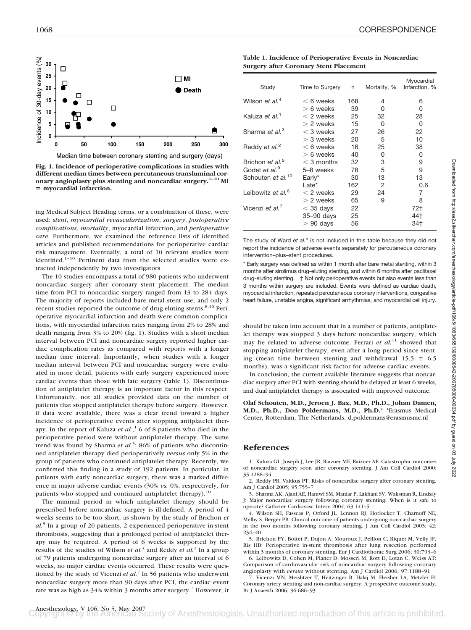

**Fig. 1. Incidence of perioperative complications in studies with different median times between percutaneous transluminal coronary angioplasty plus stenting and noncardiac surgery.1–10 MI myocardial infarction.**

ing Medical Subject Heading terms, or a combination of these, were used: *stent*, *myocardial revascularization*, *surgery*, *postoperative complications*, *mortality*, myocardial infarction, and *perioperative care*. Furthermore, we examined the reference lists of identified articles and published recommendations for perioperative cardiac risk management. Eventually, a total of 10 relevant studies were identified.<sup>1-10</sup> Pertinent data from the selected studies were extracted independently by two investigators.

The 10 studies encompass a total of 980 patients who underwent noncardiac surgery after coronary stent placement. The median time from PCI to noncardiac surgery ranged from 13 to 284 days. The majority of reports included bare metal stent use, and only 2 recent studies reported the outcome of drug-eluting stents.<sup>8,10</sup> Perioperative myocardial infarction and death were common complications, with myocardial infarction rates ranging from 2% to 28% and death ranging from 3% to 20% (fig. 1). Studies with a short median interval between PCI and noncardiac surgery reported higher cardiac complication rates as compared with reports with a longer median time interval. Importantly, when studies with a longer median interval between PCI and noncardiac surgery were evaluated in more detail, patients with early surgery experienced more cardiac events than those with late surgery (table 1). Discontinuation of antiplatelet therapy is an important factor in this respect. Unfortunately, not all studies provided data on the number of patients that stopped antiplatelet therapy before surgery. However, if data were available, there was a clear trend toward a higher incidence of perioperative events after stopping antiplatelet therapy. In the report of Kaluza *et al.*, <sup>1</sup> 6 of 8 patients who died in the perioperative period were without antiplatelet therapy. The same trend was found by Sharma *et al.*<sup>3</sup>; 86% of patients who discontinued antiplatelet therapy died perioperatively *versus* only 5% in the group of patients who continued antiplatelet therapy. Recently, we confirmed this finding in a study of 192 patients. In particular, in patients with early noncardiac surgery, there was a marked difference in major adverse cardiac events (30% *vs.* 0%, respectively, for patients who stopped and continued antiplatelet therapy).<sup>10</sup>

The minimal period in which antiplatelet therapy should be prescribed before noncardiac surgery is ill-defined. A period of 4 weeks seems to be too short, as shown by the study of Brichon *et al.*<sup>5</sup> In a group of 20 patients, 2 experienced perioperative in-stent thrombosis, suggesting that a prolonged period of antiplatelet therapy may be required. A period of 6 weeks is supported by the results of the studies of Wilson *et al.*<sup>4</sup> and Reddy *et al.*<sup>2</sup> In a group of 79 patients undergoing noncardiac surgery after an interval of 6 weeks, no major cardiac events occurred. These results were questioned by the study of Vicenzi *et al.*<sup>7</sup> In 56 patients who underwent noncardiac surgery more than 90 days after PCI, the cardiac event rate was as high as 34% within 3 months after surgery.<sup>7</sup> However, it

**Table 1. Incidence of Perioperative Events in Noncardiac Surgery after Coronary Stent Placement**

| Study                         | Time to Surgery | n   | Mortality, % | Myocardial<br>Infarction, % |
|-------------------------------|-----------------|-----|--------------|-----------------------------|
| Wilson et al. <sup>4</sup>    | $< 6$ weeks     | 168 | 4            | 6                           |
|                               | $> 6$ weeks     | 39  | 0            | 0                           |
| Kaluza et al. <sup>1</sup>    | $<$ 2 weeks     | 25  | 32           | 28                          |
|                               | $> 2$ weeks     | 15  | O            | O                           |
| Sharma et al. <sup>3</sup>    | $<$ 3 weeks     | 27  | 26           | 22                          |
|                               | $>$ 3 weeks     | 20  | 5            | 10                          |
| Reddy et al. <sup>2</sup>     | $< 6$ weeks     | 16  | 25           | 38                          |
|                               | $> 6$ weeks     | 40  | 0            | 0                           |
| Brichon et al. <sup>5</sup>   | $<$ 3 months    | 32  | 3            | 9                           |
| Godet et al. <sup>9</sup>     | 5-8 weeks       | 78  | 5            | 9                           |
| Schouten et al. <sup>10</sup> | Early*          | 30  | 13           | 13                          |
|                               | Late*           | 162 | 2            | 0.6                         |
| Leibowitz et al. <sup>6</sup> | $<$ 2 weeks     | 29  | 24           | 7                           |
|                               | $>$ 2 weeks     | 65  | 9            | 8                           |
| Vicenzi et al. <sup>7</sup>   | $<$ 35 days     | 22  |              | 72†                         |
|                               | 35-90 days      | 25  |              | 44†                         |
|                               | $>90$ days      | 56  |              | 34†                         |

The study of Ward *et al.*<sup>8</sup> is not included in this table because they did not report the incidence of adverse events separately for percutaneous coronary intervention–plus–stent procedures.

\* Early surgery was defined as within 1 month after bare metal stenting, within 3 months after sirolimus drug-eluting stenting, and within 6 months after paclitaxel drug-eluting stenting. † Not only perioperative events but also events less than 3 months within surgery are included. Events were defined as cardiac death, myocardial infarction, repeated percutaneous coronary interventions, congestive heart failure, unstable angina, significant arrhythmias, and myocardial cell injury.

should be taken into account that in a number of patients, antiplatelet therapy was stopped 3 days before noncardiac surgery, which may be related to adverse outcome. Ferrari *et al.*<sup>11</sup> showed that stopping antiplatelet therapy, even after a long period since stenting (mean time between stenting and withdrawal 15.5  $\pm$  6.5 months), was a significant risk factor for adverse cardiac events.

In conclusion, the current available literature suggests that noncardiac surgery after PCI with stenting should be delayed at least 6 weeks, and dual antiplatelet therapy is associated with improved outcome.

**Olaf Schouten, M.D., Jeroen J. Bax, M.D., Ph.D., Johan Damen, M.D., Ph.D., Don Poldermans, M.D., Ph.D.\*** \*Erasmus Medical Center, Rotterdam, The Netherlands. d.poldermans@erasmusmc.nl

#### **References**

1. Kaluza GL, Joseph J, Lee JR, Raizner ME, Raizner AE: Catastrophic outcomes of noncardiac surgery soon after coronary stenting. J Am Coll Cardiol 2000; 35:1288–94

2. Reddy PR, Vaitkus PT: Risks of noncardiac surgery after coronary stenting. Am J Cardiol 2005; 95:755–7

3. Sharma AK, Ajani AE, Hamwi SM, Maniar P, Lakhani SV, Waksman R, Lindsay J: Major noncardiac surgery following coronary stenting: When is it safe to operate? Catheter Cardiovasc Interv 2004; 63:141–5

4. Wilson SH, Fasseas P, Orford JL, Lennon RJ, Horlocker T, Charnoff NE, Melby S, Berger PB: Clinical outcome of patients undergoing non-cardiac surgery in the two months following coronary stenting. J Am Coll Cardiol 2003; 42: 234–40

5. Brichon PY, Boitet P, Dujon A, Mouroux J, Peillon C, Riquet M, Velly JF, Ris HB: Perioperative in-stent thrombosis after lung resection performed within 3 months of coronary stenting. Eur J Cardiothorac Surg 2006; 30:793–6

6. Leibowitz D, Cohen M, Planer D, Mosseri M, Rott D, Lotan C, Weiss AT: Comparison of cardiovascular risk of noncardiac surgery following coronary angioplasty with *versus* without stenting. Am J Cardiol 2006; 97:1188–91

7. Vicenzi MN, Meislitzer T, Heitzinger B, Halaj M, Fleisher LA, Metzler H: Coronary artery stenting and non-cardiac surgery: A prospective outcome study. Br J Anaesth 2006; 96:686–93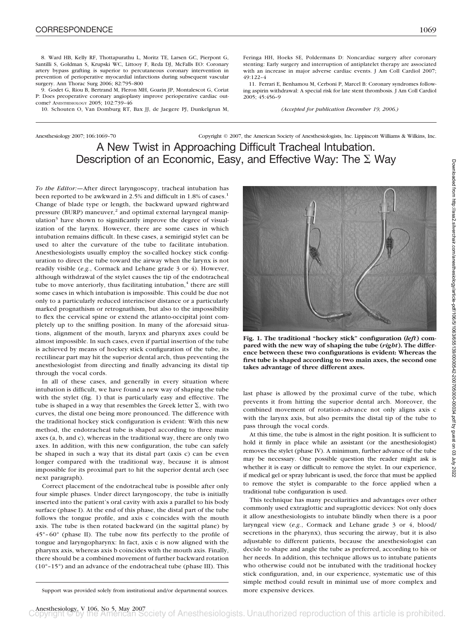8. Ward HB, Kelly RF, Thottapurathu L, Moritz TE, Larsen GC, Pierpont G, Santilli S, Goldman S, Krupski WC, Littooy F, Reda DJ, McFalls EO: Coronary artery bypass grafting is superior to percutaneous coronary intervention in prevention of perioperative myocardial infarctions during subsequent vascular surgery. Ann Thorac Surg 2006; 82:795–800 49:122–4

9. Godet G, Riou B, Bertrand M, Fleron MH, Goarin JP, Montalescot G, Coriat P: Does preoperative coronary angioplasty improve perioperative cardiac outcome? ANESTHESIOLOGY 2005; 102:739–46

10. Schouten O, Van Domburg RT, Bax JJ, de Jaegere PJ, Dunkelgrun M,

Feringa HH, Hoeks SE, Poldermans D: Noncardiac surgery after coronary stenting: Early surgery and interruption of antiplatelet therapy are associated with an increase in major adverse cardiac events. J Am Coll Cardiol 2007;

11. Ferrari E, Benhamou M, Cerboni P, Marcel B: Coronary syndromes following aspirin withdrawal: A special risk for late stent thrombosis. J Am Coll Cardiol 2005; 45:456–9

*(Accepted for publication December 19, 2006.)*

# Anesthesiology 2007; 106:1069–70 Copyright © 2007, the American Society of Anesthesiologists, Inc. Lippincott Williams & Wilkins, Inc. A New Twist in Approaching Difficult Tracheal Intubation. Description of an Economic, Easy, and Effective Way: The  $\Sigma$  Way

*To the Editor:—*After direct laryngoscopy, tracheal intubation has been reported to be awkward in 2.5% and difficult in 1.8% of cases.<sup>1</sup> Change of blade type or length, the backward upward rightward pressure (BURP) maneuver,<sup>2</sup> and optimal external laryngeal manipulation<sup>3</sup> have shown to significantly improve the degree of visualization of the larynx. However, there are some cases in which intubation remains difficult. In these cases, a semirigid stylet can be used to alter the curvature of the tube to facilitate intubation. Anesthesiologists usually employ the so-called hockey stick configuration to direct the tube toward the airway when the larynx is not readily visible (*e.g.*, Cormack and Lehane grade 3 or 4). However, although withdrawal of the stylet causes the tip of the endotracheal tube to move anteriorly, thus facilitating intubation, $4$  there are still some cases in which intubation is impossible. This could be due not only to a particularly reduced interincisor distance or a particularly marked prognathism or retrognathism, but also to the impossibility to flex the cervical spine or extend the atlanto-occipital joint completely up to the sniffing position. In many of the aforesaid situations, alignment of the mouth, larynx and pharynx axes could be almost impossible. In such cases, even if partial insertion of the tube is achieved by means of hockey stick configuration of the tube, its rectilinear part may hit the superior dental arch, thus preventing the anesthesiologist from directing and finally advancing its distal tip through the vocal cords.

In all of these cases, and generally in every situation where intubation is difficult, we have found a new way of shaping the tube with the stylet (fig. 1) that is particularly easy and effective. The tube is shaped in a way that resembles the Greek letter  $\Sigma$ , with two curves, the distal one being more pronounced. The difference with the traditional hockey stick configuration is evident: With this new method, the endotracheal tube is shaped according to three main axes (a, b, and c), whereas in the traditional way, there are only two axes. In addition, with this new configuration, the tube can safely be shaped in such a way that its distal part (axis c) can be even longer compared with the traditional way, because it is almost impossible for its proximal part to hit the superior dental arch (see next paragraph).

Correct placement of the endotracheal tube is possible after only four simple phases. Under direct laryngoscopy, the tube is initially inserted into the patient's oral cavity with axis a parallel to his body surface (phase I). At the end of this phase, the distal part of the tube follows the tongue profile, and axis c coincides with the mouth axis. The tube is then rotated backward (in the sagittal plane) by  $45^{\circ}$ –60 $^{\circ}$  (phase II). The tube now fits perfectly to the profile of tongue and laryngopharynx: In fact, axis c is now aligned with the pharynx axis, whereas axis b coincides with the mouth axis. Finally, there should be a combined movement of further backward rotation (10°–15°) and an advance of the endotracheal tube (phase III). This

Support was provided solely from institutional and/or departmental sources. more expensive devices.



**Fig. 1. The traditional "hockey stick" configuration (***left***) compared with the new way of shaping the tube (***right***). The difference between these two configurations is evident: Whereas the first tube is shaped according to two main axes, the second one takes advantage of three different axes.**

last phase is allowed by the proximal curve of the tube, which prevents it from hitting the superior dental arch. Moreover, the combined movement of rotation–advance not only aligns axis c with the larynx axis, but also permits the distal tip of the tube to pass through the vocal cords.

At this time, the tube is almost in the right position. It is sufficient to hold it firmly in place while an assistant (or the anesthesiologist) removes the stylet (phase IV). A minimum, further advance of the tube may be necessary. One possible question the reader might ask is whether it is easy or difficult to remove the stylet. In our experience, if medical gel or spray lubricant is used, the force that must be applied to remove the stylet is comparable to the force applied when a traditional tube configuration is used.

This technique has many peculiarities and advantages over other commonly used extraglottic and supraglottic devices: Not only does it allow anesthesiologists to intubate blindly when there is a poor laryngeal view (*e.g.*, Cormack and Lehane grade 3 or 4, blood/ secretions in the pharynx), thus securing the airway, but it is also adjustable to different patients, because the anesthesiologist can decide to shape and angle the tube as preferred, according to his or her needs. In addition, this technique allows us to intubate patients who otherwise could not be intubated with the traditional hockey stick configuration, and, in our experience, systematic use of this simple method could result in minimal use of more complex and